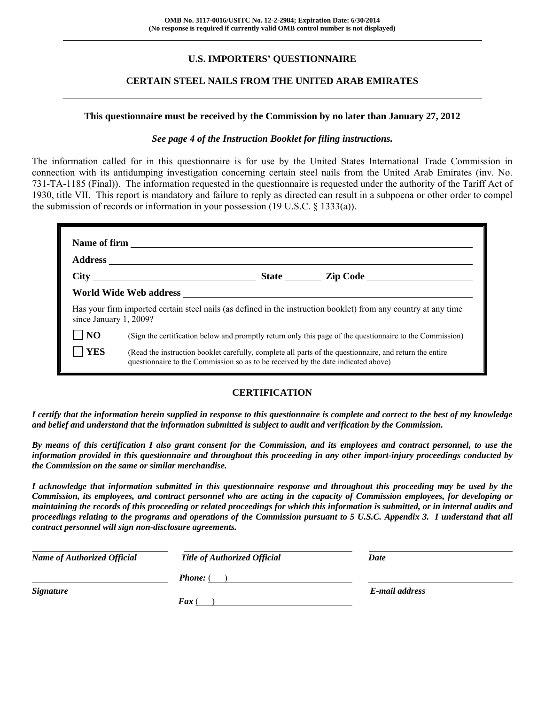## **U.S. IMPORTERS' QUESTIONNAIRE**

#### **CERTAIN STEEL NAILS FROM THE UNITED ARAB EMIRATES**

#### **This questionnaire must be received by the Commission by no later than January 27, 2012**

#### *See page 4 of the Instruction Booklet for filing instructions.*

The information called for in this questionnaire is for use by the United States International Trade Commission in connection with its antidumping investigation concerning certain steel nails from the United Arab Emirates (inv. No. 731-TA-1185 (Final)). The information requested in the questionnaire is requested under the authority of the Tariff Act of 1930, title VII. This report is mandatory and failure to reply as directed can result in a subpoena or other order to compel the submission of records or information in your possession (19 U.S.C. § 1333(a)).

| since January 1, 2009? |                                                                                                                                                                                              |  | Has your firm imported certain steel nails (as defined in the instruction booklet) from any country at any time |
|------------------------|----------------------------------------------------------------------------------------------------------------------------------------------------------------------------------------------|--|-----------------------------------------------------------------------------------------------------------------|
| N <sub>O</sub>         | (Sign the certification below and promptly return only this page of the questionnaire to the Commission)                                                                                     |  |                                                                                                                 |
| <b>YES</b>             | (Read the instruction booklet carefully, complete all parts of the questionnaire, and return the entire<br>questionnaire to the Commission so as to be received by the date indicated above) |  |                                                                                                                 |

#### **CERTIFICATION**

*I certify that the information herein supplied in response to this questionnaire is complete and correct to the best of my knowledge and belief and understand that the information submitted is subject to audit and verification by the Commission.* 

*By means of this certification I also grant consent for the Commission, and its employees and contract personnel, to use the information provided in this questionnaire and throughout this proceeding in any other import-injury proceedings conducted by the Commission on the same or similar merchandise.* 

*I acknowledge that information submitted in this questionnaire response and throughout this proceeding may be used by the Commission, its employees, and contract personnel who are acting in the capacity of Commission employees, for developing or maintaining the records of this proceeding or related proceedings for which this information is submitted, or in internal audits and proceedings relating to the programs and operations of the Commission pursuant to 5 U.S.C. Appendix 3. I understand that all contract personnel will sign non-disclosure agreements.* 

| <b>Name of Authorized Official</b> | <b>Title of Authorized Official</b> | Date           |
|------------------------------------|-------------------------------------|----------------|
|                                    | <b>Phone:</b> (                     |                |
| <b>Signature</b>                   |                                     | E-mail address |
|                                    | $\boldsymbol{F}$ ax (               |                |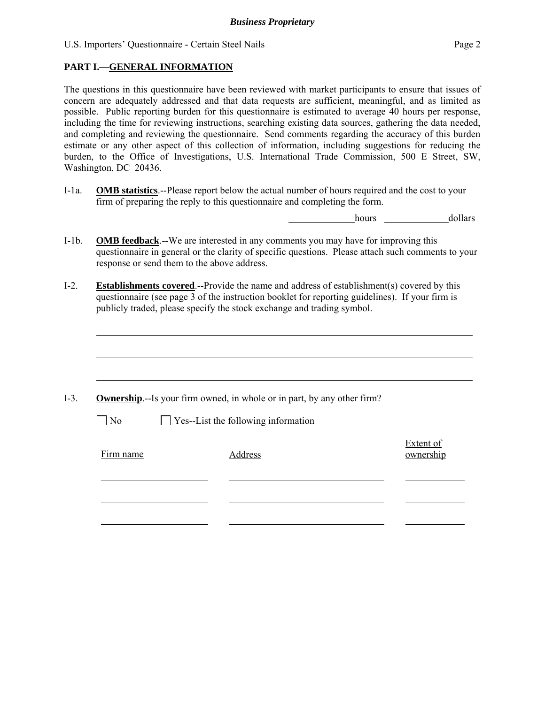l

The questions in this questionnaire have been reviewed with market participants to ensure that issues of concern are adequately addressed and that data requests are sufficient, meaningful, and as limited as possible. Public reporting burden for this questionnaire is estimated to average 40 hours per response, including the time for reviewing instructions, searching existing data sources, gathering the data needed, and completing and reviewing the questionnaire. Send comments regarding the accuracy of this burden estimate or any other aspect of this collection of information, including suggestions for reducing the burden, to the Office of Investigations, U.S. International Trade Commission, 500 E Street, SW, Washington, DC 20436.

I-1a. **OMB statistics**.--Please report below the actual number of hours required and the cost to your firm of preparing the reply to this questionnaire and completing the form.

hours dollars

- I-1b. **OMB feedback**.--We are interested in any comments you may have for improving this questionnaire in general or the clarity of specific questions. Please attach such comments to your response or send them to the above address.
- I-2. **Establishments covered**.--Provide the name and address of establishment(s) covered by this questionnaire (see page 3 of the instruction booklet for reporting guidelines). If your firm is publicly traded, please specify the stock exchange and trading symbol.

|                   | <b>Ownership</b> .--Is your firm owned, in whole or in part, by any other firm? |                        |
|-------------------|---------------------------------------------------------------------------------|------------------------|
| $\blacksquare$ No | $\Box$ Yes--List the following information                                      |                        |
| Firm name         | Address                                                                         | Extent of<br>ownership |
|                   |                                                                                 |                        |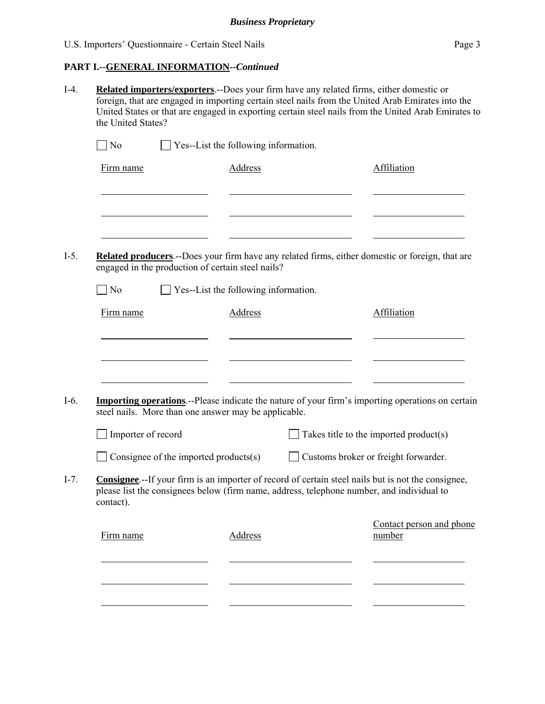|                             | $\Box$ Yes--List the following information.                                                                                                                                                             |                |                                        |
|-----------------------------|---------------------------------------------------------------------------------------------------------------------------------------------------------------------------------------------------------|----------------|----------------------------------------|
| Firm name                   |                                                                                                                                                                                                         | <b>Address</b> | Affiliation                            |
|                             |                                                                                                                                                                                                         |                |                                        |
|                             | Related producers.--Does your firm have any related firms, either domestic or foreign, that are<br>engaged in the production of certain steel nails?                                                    |                |                                        |
| $\overline{\phantom{a}}$ No | $\Box$ Yes--List the following information.                                                                                                                                                             |                |                                        |
| Firm name                   |                                                                                                                                                                                                         | Address        | Affiliation                            |
|                             |                                                                                                                                                                                                         |                |                                        |
|                             | <b>Importing operations</b> .--Please indicate the nature of your firm's importing operations on certain<br>steel nails. More than one answer may be applicable.                                        |                |                                        |
| Importer of record          |                                                                                                                                                                                                         |                | Takes title to the imported product(s) |
|                             | Consignee of the imported products(s)                                                                                                                                                                   |                | Customs broker or freight forwarder.   |
| contact).                   | <b>Consignee.</b> --If your firm is an importer of record of certain steel nails but is not the consignee.<br>please list the consignees below (firm name, address, telephone number, and individual to |                |                                        |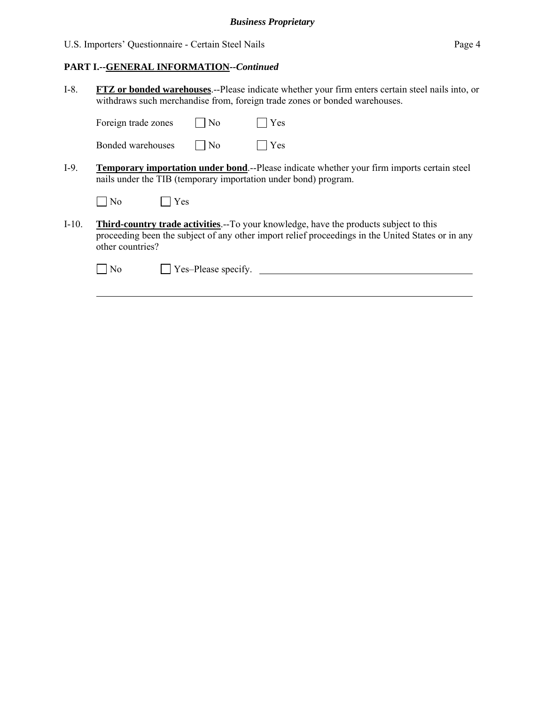#### **PART I.--GENERAL INFORMATION***--Continued*

I-8. **FTZ or bonded warehouses**.--Please indicate whether your firm enters certain steel nails into, or withdraws such merchandise from, foreign trade zones or bonded warehouses.

Foreign trade zones  $\Box$  No  $\Box$  Yes

| Bonded warehouses | $\Box$ No | $\Box$ Yes |
|-------------------|-----------|------------|
|                   |           |            |

I-9. **Temporary importation under bond**.--Please indicate whether your firm imports certain steel nails under the TIB (temporary importation under bond) program.

| $1$ No | Y es |
|--------|------|
|--------|------|

I-10. **Third-country trade activities**.--To your knowledge, have the products subject to this proceeding been the subject of any other import relief proceedings in the United States or in any other countries?

l

No Yes–Please specify.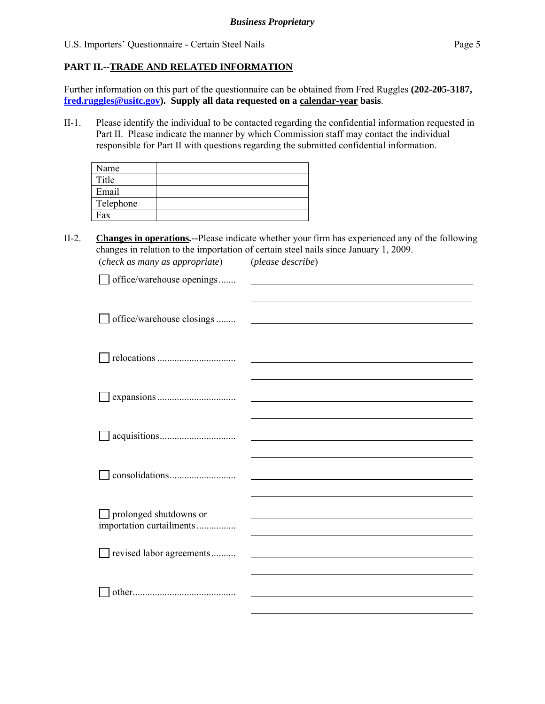### **PART II.--TRADE AND RELATED INFORMATION**

Further information on this part of the questionnaire can be obtained from Fred Ruggles **(202-205-3187, fred.ruggles@usitc.gov). Supply all data requested on a calendar-year basis**.

II-1. Please identify the individual to be contacted regarding the confidential information requested in Part II. Please indicate the manner by which Commission staff may contact the individual responsible for Part II with questions regarding the submitted confidential information.

| Name      |  |
|-----------|--|
| Title     |  |
| Email     |  |
| Telephone |  |
| Fax       |  |

(*check as many as appropriate*) (*please describe*)

II-2. **Changes in operations.--**Please indicate whether your firm has experienced any of the following changes in relation to the importation of certain steel nails since January 1, 2009.

| office/warehouse openings     |                                                                                                                        |
|-------------------------------|------------------------------------------------------------------------------------------------------------------------|
|                               |                                                                                                                        |
| office/warehouse closings     | <u> 1980 - Johann Stoff, deutscher Stoffen und der Stoffen und der Stoffen und der Stoffen und der Stoffen und der</u> |
|                               |                                                                                                                        |
|                               |                                                                                                                        |
|                               |                                                                                                                        |
|                               |                                                                                                                        |
|                               |                                                                                                                        |
|                               |                                                                                                                        |
|                               |                                                                                                                        |
|                               |                                                                                                                        |
|                               |                                                                                                                        |
| $\Box$ prolonged shutdowns or |                                                                                                                        |
| importation curtailments      |                                                                                                                        |
| revised labor agreements      |                                                                                                                        |
|                               |                                                                                                                        |
|                               |                                                                                                                        |
|                               |                                                                                                                        |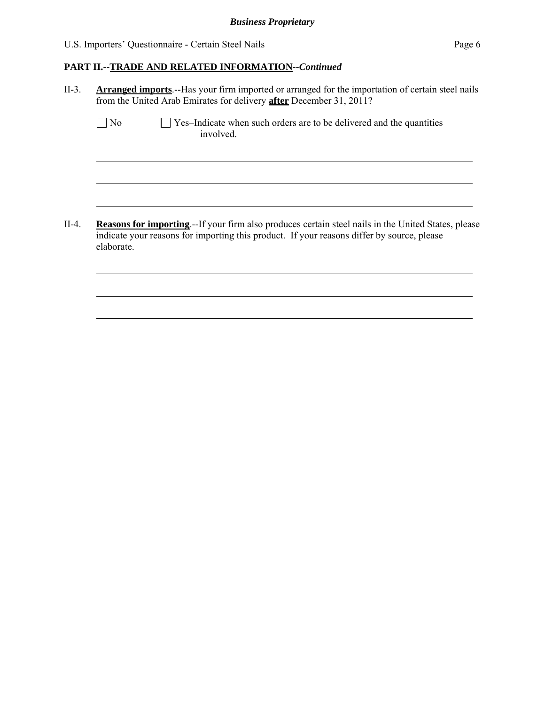l

l

l

l

l

l

#### **PART II.--TRADE AND RELATED INFORMATION***--Continued*

II-3. **Arranged imports**.--Has your firm imported or arranged for the importation of certain steel nails from the United Arab Emirates for delivery **after** December 31, 2011?

| N <sub>o</sub> | $\Box$ Yes-Indicate when such orders are to be delivered and the quantities |
|----------------|-----------------------------------------------------------------------------|
|                | involved.                                                                   |

II-4. **Reasons for importing**.--If your firm also produces certain steel nails in the United States, please indicate your reasons for importing this product. If your reasons differ by source, please elaborate.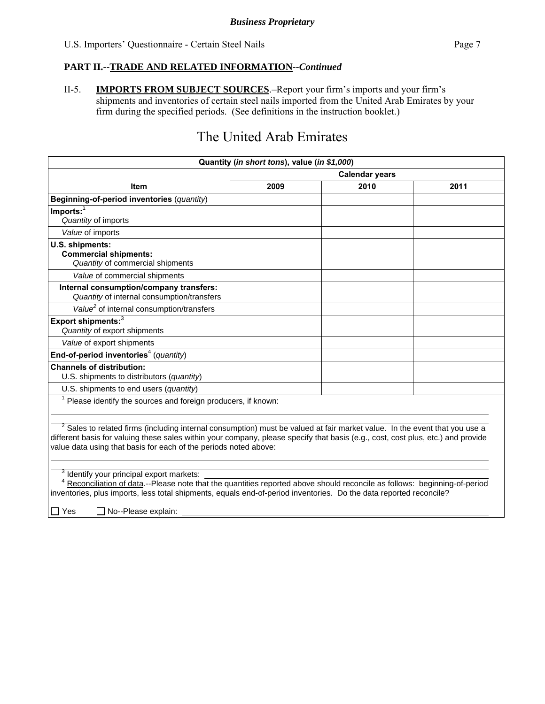II-5. **IMPORTS FROM SUBJECT SOURCES**.–Report your firm's imports and your firm's shipments and inventories of certain steel nails imported from the United Arab Emirates by your firm during the specified periods. (See definitions in the instruction booklet.)

# The United Arab Emirates

| 2009<br>Item                                                                                                                                                                                                                                                                                                                                                                                                                                                                                                                                                                                                                                                                        | <b>Calendar years</b> |      |  |  |  |
|-------------------------------------------------------------------------------------------------------------------------------------------------------------------------------------------------------------------------------------------------------------------------------------------------------------------------------------------------------------------------------------------------------------------------------------------------------------------------------------------------------------------------------------------------------------------------------------------------------------------------------------------------------------------------------------|-----------------------|------|--|--|--|
|                                                                                                                                                                                                                                                                                                                                                                                                                                                                                                                                                                                                                                                                                     |                       |      |  |  |  |
|                                                                                                                                                                                                                                                                                                                                                                                                                                                                                                                                                                                                                                                                                     | 2010                  | 2011 |  |  |  |
| Beginning-of-period inventories (quantity)                                                                                                                                                                                                                                                                                                                                                                                                                                                                                                                                                                                                                                          |                       |      |  |  |  |
| $Imports:$ <sup>1</sup><br>Quantity of imports                                                                                                                                                                                                                                                                                                                                                                                                                                                                                                                                                                                                                                      |                       |      |  |  |  |
| Value of imports                                                                                                                                                                                                                                                                                                                                                                                                                                                                                                                                                                                                                                                                    |                       |      |  |  |  |
| U.S. shipments:<br><b>Commercial shipments:</b><br>Quantity of commercial shipments                                                                                                                                                                                                                                                                                                                                                                                                                                                                                                                                                                                                 |                       |      |  |  |  |
| Value of commercial shipments                                                                                                                                                                                                                                                                                                                                                                                                                                                                                                                                                                                                                                                       |                       |      |  |  |  |
| Internal consumption/company transfers:<br>Quantity of internal consumption/transfers                                                                                                                                                                                                                                                                                                                                                                                                                                                                                                                                                                                               |                       |      |  |  |  |
| Value <sup>2</sup> of internal consumption/transfers                                                                                                                                                                                                                                                                                                                                                                                                                                                                                                                                                                                                                                |                       |      |  |  |  |
| Export shipments: <sup>3</sup><br>Quantity of export shipments                                                                                                                                                                                                                                                                                                                                                                                                                                                                                                                                                                                                                      |                       |      |  |  |  |
| Value of export shipments                                                                                                                                                                                                                                                                                                                                                                                                                                                                                                                                                                                                                                                           |                       |      |  |  |  |
| End-of-period inventories <sup>4</sup> (quantity)                                                                                                                                                                                                                                                                                                                                                                                                                                                                                                                                                                                                                                   |                       |      |  |  |  |
| <b>Channels of distribution:</b><br>U.S. shipments to distributors (quantity)                                                                                                                                                                                                                                                                                                                                                                                                                                                                                                                                                                                                       |                       |      |  |  |  |
| U.S. shipments to end users (quantity)                                                                                                                                                                                                                                                                                                                                                                                                                                                                                                                                                                                                                                              |                       |      |  |  |  |
| <sup>1</sup> Please identify the sources and foreign producers, if known:                                                                                                                                                                                                                                                                                                                                                                                                                                                                                                                                                                                                           |                       |      |  |  |  |
| $2$ Sales to related firms (including internal consumption) must be valued at fair market value. In the event that you use a<br>different basis for valuing these sales within your company, please specify that basis (e.g., cost, cost plus, etc.) and provide<br>value data using that basis for each of the periods noted above:<br>Identify your principal export markets:<br><sup>4</sup> Reconciliation of data.--Please note that the quantities reported above should reconcile as follows: beginning-of-period<br>inventories, plus imports, less total shipments, equals end-of-period inventories. Do the data reported reconcile?<br>$\Box$ Yes<br>No--Please explain: |                       |      |  |  |  |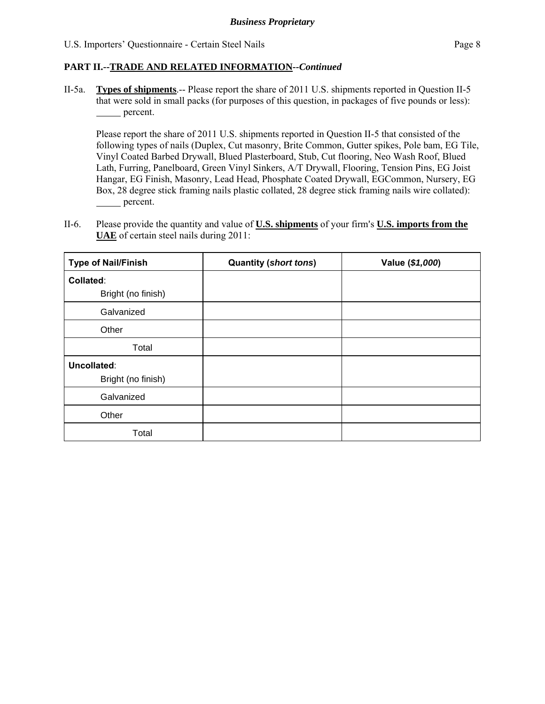II-5a. **Types of shipments**.-- Please report the share of 2011 U.S. shipments reported in Question II-5 that were sold in small packs (for purposes of this question, in packages of five pounds or less): percent.

Please report the share of 2011 U.S. shipments reported in Question II-5 that consisted of the following types of nails (Duplex, Cut masonry, Brite Common, Gutter spikes, Pole bam, EG Tile, Vinyl Coated Barbed Drywall, Blued Plasterboard, Stub, Cut flooring, Neo Wash Roof, Blued Lath, Furring, Panelboard, Green Vinyl Sinkers, A/T Drywall, Flooring, Tension Pins, EG Joist Hangar, EG Finish, Masonry, Lead Head, Phosphate Coated Drywall, EGCommon, Nursery, EG Box, 28 degree stick framing nails plastic collated, 28 degree stick framing nails wire collated): percent.

II-6. Please provide the quantity and value of **U.S. shipments** of your firm's **U.S. imports from the UAE** of certain steel nails during 2011:

| <b>Type of Nail/Finish</b> | <b>Quantity (short tons)</b> | Value (\$1,000) |
|----------------------------|------------------------------|-----------------|
| Collated:                  |                              |                 |
| Bright (no finish)         |                              |                 |
| Galvanized                 |                              |                 |
| Other                      |                              |                 |
| Total                      |                              |                 |
| Uncollated:                |                              |                 |
| Bright (no finish)         |                              |                 |
| Galvanized                 |                              |                 |
| Other                      |                              |                 |
| Total                      |                              |                 |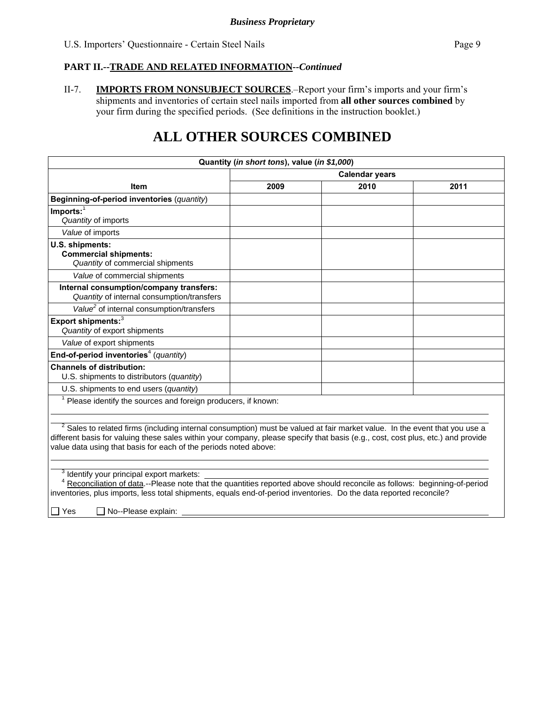II-7. **IMPORTS FROM NONSUBJECT SOURCES**.–Report your firm's imports and your firm's shipments and inventories of certain steel nails imported from **all other sources combined** by your firm during the specified periods. (See definitions in the instruction booklet.)

# **ALL OTHER SOURCES COMBINED**

| <b>Calendar years</b><br>2010<br>2011<br>2009<br>Item<br>Beginning-of-period inventories (quantity)<br>$Imports:$ <sup>1</sup><br>Quantity of imports<br>Value of imports<br>U.S. shipments:<br><b>Commercial shipments:</b><br>Quantity of commercial shipments<br>Value of commercial shipments<br>Internal consumption/company transfers:<br>Quantity of internal consumption/transfers<br>Value <sup>2</sup> of internal consumption/transfers<br>Export shipments: <sup>3</sup><br>Quantity of export shipments<br>Value of export shipments<br>End-of-period inventories <sup>4</sup> (quantity)<br><b>Channels of distribution:</b><br>U.S. shipments to distributors (quantity)<br>U.S. shipments to end users (quantity)<br>$1$ Please identify the sources and foreign producers, if known:<br><sup>2</sup> Sales to related firms (including internal consumption) must be valued at fair market value. In the event that you use a<br>different basis for valuing these sales within your company, please specify that basis (e.g., cost, cost plus, etc.) and provide<br>value data using that basis for each of the periods noted above:<br>Identify your principal export markets:<br>Reconciliation of data.--Please note that the quantities reported above should reconcile as follows: beginning-of-period<br>inventories, plus imports, less total shipments, equals end-of-period inventories. Do the data reported reconcile?<br>$\Box$ Yes<br>No--Please explain: | Quantity (in short tons), value (in \$1,000) |  |  |  |  |  |
|------------------------------------------------------------------------------------------------------------------------------------------------------------------------------------------------------------------------------------------------------------------------------------------------------------------------------------------------------------------------------------------------------------------------------------------------------------------------------------------------------------------------------------------------------------------------------------------------------------------------------------------------------------------------------------------------------------------------------------------------------------------------------------------------------------------------------------------------------------------------------------------------------------------------------------------------------------------------------------------------------------------------------------------------------------------------------------------------------------------------------------------------------------------------------------------------------------------------------------------------------------------------------------------------------------------------------------------------------------------------------------------------------------------------------------------------------------------------------------------|----------------------------------------------|--|--|--|--|--|
|                                                                                                                                                                                                                                                                                                                                                                                                                                                                                                                                                                                                                                                                                                                                                                                                                                                                                                                                                                                                                                                                                                                                                                                                                                                                                                                                                                                                                                                                                          |                                              |  |  |  |  |  |
|                                                                                                                                                                                                                                                                                                                                                                                                                                                                                                                                                                                                                                                                                                                                                                                                                                                                                                                                                                                                                                                                                                                                                                                                                                                                                                                                                                                                                                                                                          |                                              |  |  |  |  |  |
|                                                                                                                                                                                                                                                                                                                                                                                                                                                                                                                                                                                                                                                                                                                                                                                                                                                                                                                                                                                                                                                                                                                                                                                                                                                                                                                                                                                                                                                                                          |                                              |  |  |  |  |  |
|                                                                                                                                                                                                                                                                                                                                                                                                                                                                                                                                                                                                                                                                                                                                                                                                                                                                                                                                                                                                                                                                                                                                                                                                                                                                                                                                                                                                                                                                                          |                                              |  |  |  |  |  |
|                                                                                                                                                                                                                                                                                                                                                                                                                                                                                                                                                                                                                                                                                                                                                                                                                                                                                                                                                                                                                                                                                                                                                                                                                                                                                                                                                                                                                                                                                          |                                              |  |  |  |  |  |
|                                                                                                                                                                                                                                                                                                                                                                                                                                                                                                                                                                                                                                                                                                                                                                                                                                                                                                                                                                                                                                                                                                                                                                                                                                                                                                                                                                                                                                                                                          |                                              |  |  |  |  |  |
|                                                                                                                                                                                                                                                                                                                                                                                                                                                                                                                                                                                                                                                                                                                                                                                                                                                                                                                                                                                                                                                                                                                                                                                                                                                                                                                                                                                                                                                                                          |                                              |  |  |  |  |  |
|                                                                                                                                                                                                                                                                                                                                                                                                                                                                                                                                                                                                                                                                                                                                                                                                                                                                                                                                                                                                                                                                                                                                                                                                                                                                                                                                                                                                                                                                                          |                                              |  |  |  |  |  |
|                                                                                                                                                                                                                                                                                                                                                                                                                                                                                                                                                                                                                                                                                                                                                                                                                                                                                                                                                                                                                                                                                                                                                                                                                                                                                                                                                                                                                                                                                          |                                              |  |  |  |  |  |
|                                                                                                                                                                                                                                                                                                                                                                                                                                                                                                                                                                                                                                                                                                                                                                                                                                                                                                                                                                                                                                                                                                                                                                                                                                                                                                                                                                                                                                                                                          |                                              |  |  |  |  |  |
|                                                                                                                                                                                                                                                                                                                                                                                                                                                                                                                                                                                                                                                                                                                                                                                                                                                                                                                                                                                                                                                                                                                                                                                                                                                                                                                                                                                                                                                                                          |                                              |  |  |  |  |  |
|                                                                                                                                                                                                                                                                                                                                                                                                                                                                                                                                                                                                                                                                                                                                                                                                                                                                                                                                                                                                                                                                                                                                                                                                                                                                                                                                                                                                                                                                                          |                                              |  |  |  |  |  |
|                                                                                                                                                                                                                                                                                                                                                                                                                                                                                                                                                                                                                                                                                                                                                                                                                                                                                                                                                                                                                                                                                                                                                                                                                                                                                                                                                                                                                                                                                          |                                              |  |  |  |  |  |
|                                                                                                                                                                                                                                                                                                                                                                                                                                                                                                                                                                                                                                                                                                                                                                                                                                                                                                                                                                                                                                                                                                                                                                                                                                                                                                                                                                                                                                                                                          |                                              |  |  |  |  |  |
|                                                                                                                                                                                                                                                                                                                                                                                                                                                                                                                                                                                                                                                                                                                                                                                                                                                                                                                                                                                                                                                                                                                                                                                                                                                                                                                                                                                                                                                                                          |                                              |  |  |  |  |  |
|                                                                                                                                                                                                                                                                                                                                                                                                                                                                                                                                                                                                                                                                                                                                                                                                                                                                                                                                                                                                                                                                                                                                                                                                                                                                                                                                                                                                                                                                                          |                                              |  |  |  |  |  |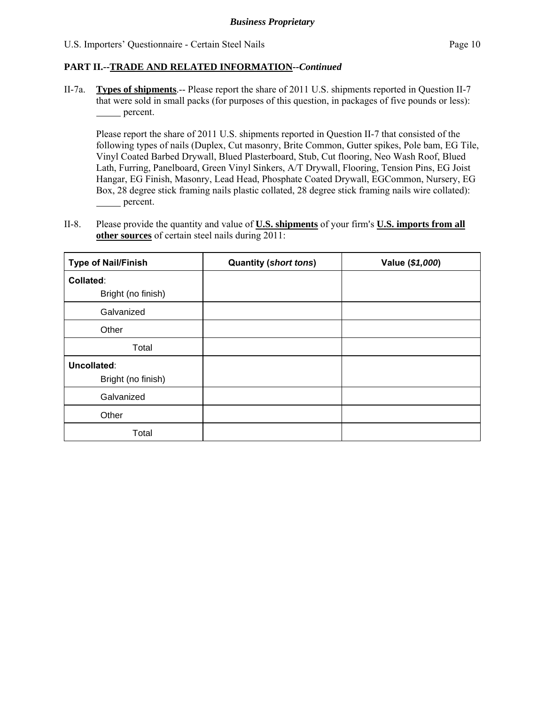II-7a. **Types of shipments**.-- Please report the share of 2011 U.S. shipments reported in Question II-7 that were sold in small packs (for purposes of this question, in packages of five pounds or less): percent.

Please report the share of 2011 U.S. shipments reported in Question II-7 that consisted of the following types of nails (Duplex, Cut masonry, Brite Common, Gutter spikes, Pole bam, EG Tile, Vinyl Coated Barbed Drywall, Blued Plasterboard, Stub, Cut flooring, Neo Wash Roof, Blued Lath, Furring, Panelboard, Green Vinyl Sinkers, A/T Drywall, Flooring, Tension Pins, EG Joist Hangar, EG Finish, Masonry, Lead Head, Phosphate Coated Drywall, EGCommon, Nursery, EG Box, 28 degree stick framing nails plastic collated, 28 degree stick framing nails wire collated): percent.

II-8. Please provide the quantity and value of **U.S. shipments** of your firm's **U.S. imports from all other sources** of certain steel nails during 2011:

| <b>Type of Nail/Finish</b> | <b>Quantity (short tons)</b> | Value (\$1,000) |
|----------------------------|------------------------------|-----------------|
| Collated:                  |                              |                 |
| Bright (no finish)         |                              |                 |
| Galvanized                 |                              |                 |
| Other                      |                              |                 |
| Total                      |                              |                 |
| Uncollated:                |                              |                 |
| Bright (no finish)         |                              |                 |
| Galvanized                 |                              |                 |
| Other                      |                              |                 |
| Total                      |                              |                 |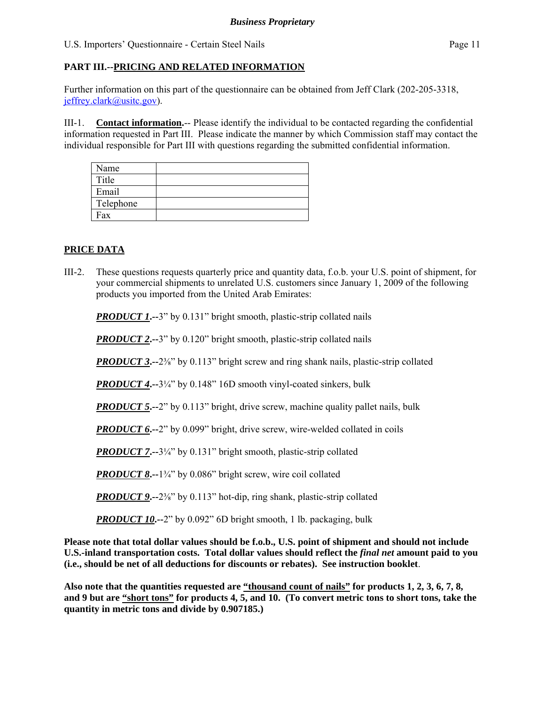## **PART III.--PRICING AND RELATED INFORMATION**

Further information on this part of the questionnaire can be obtained from Jeff Clark (202-205-3318, jeffrey.clark@usitc.gov).

III-1. **Contact information.**-- Please identify the individual to be contacted regarding the confidential information requested in Part III. Please indicate the manner by which Commission staff may contact the individual responsible for Part III with questions regarding the submitted confidential information.

| Name      |  |
|-----------|--|
| Title     |  |
| Email     |  |
| Telephone |  |
| Fax       |  |

# **PRICE DATA**

III-2. These questions requests quarterly price and quantity data, f.o.b. your U.S. point of shipment, for your commercial shipments to unrelated U.S. customers since January 1, 2009 of the following products you imported from the United Arab Emirates:

*PRODUCT 1***.**-3" by 0.131" bright smooth, plastic-strip collated nails

**PRODUCT 2.--3**" by 0.120" bright smooth, plastic-strip collated nails

*PRODUCT 3***.**--2<sup>3</sup>⁄<sub>8</sub>" by 0.113" bright screw and ring shank nails, plastic-strip collated

*PRODUCT 4***.--**3¼" by 0.148" 16D smooth vinyl-coated sinkers, bulk

*PRODUCT 5***.**--2" by 0.113" bright, drive screw, machine quality pallet nails, bulk

*PRODUCT 6***.--**2" by 0.099" bright, drive screw, wire-welded collated in coils

*PRODUCT 7***.**--3<sup>1</sup>/<sub>4</sub>" by 0.131" bright smooth, plastic-strip collated

*PRODUCT 8***.--**1¾" by 0.086" bright screw, wire coil collated

*PRODUCT 9***.**--2<sup>3</sup>⁄<sub>8</sub>" by 0.113" hot-dip, ring shank, plastic-strip collated

*PRODUCT 10***.**--2" by 0.092" 6D bright smooth, 1 lb. packaging, bulk

**Please note that total dollar values should be f.o.b., U.S. point of shipment and should not include U.S.-inland transportation costs. Total dollar values should reflect the** *final net* **amount paid to you (i.e., should be net of all deductions for discounts or rebates). See instruction booklet**.

**Also note that the quantities requested are "thousand count of nails" for products 1, 2, 3, 6, 7, 8, and 9 but are "short tons" for products 4, 5, and 10. (To convert metric tons to short tons, take the quantity in metric tons and divide by 0.907185.)**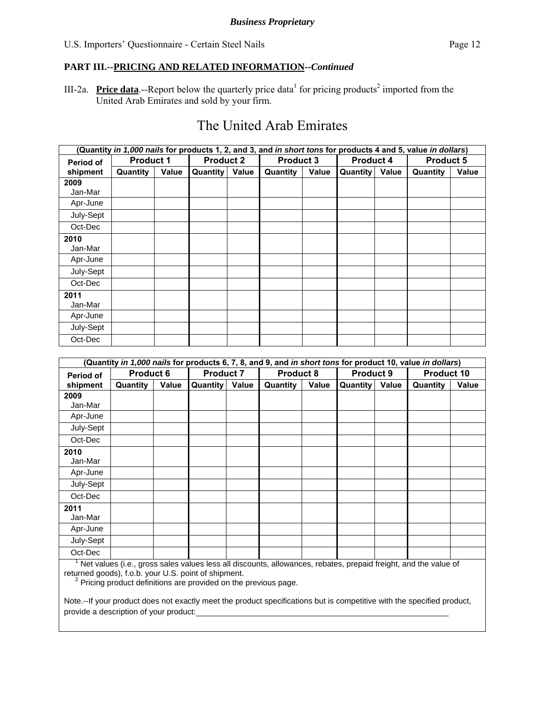III-2a. **Price data**.--Report below the quarterly price data<sup>1</sup> for pricing products<sup>2</sup> imported from the United Arab Emirates and sold by your firm.

# The United Arab Emirates

|           | (Quantity in 1,000 nails for products 1, 2, and 3, and in short tons for products 4 and 5, value in dollars) |       |                  |       |                  |       |                  |       |                  |              |
|-----------|--------------------------------------------------------------------------------------------------------------|-------|------------------|-------|------------------|-------|------------------|-------|------------------|--------------|
| Period of | <b>Product 1</b>                                                                                             |       | <b>Product 2</b> |       | <b>Product 3</b> |       | <b>Product 4</b> |       | <b>Product 5</b> |              |
| shipment  | Quantity                                                                                                     | Value | <b>Quantity</b>  | Value | Quantity         | Value | <b>Quantity</b>  | Value | Quantity         | <b>Value</b> |
| 2009      |                                                                                                              |       |                  |       |                  |       |                  |       |                  |              |
| Jan-Mar   |                                                                                                              |       |                  |       |                  |       |                  |       |                  |              |
| Apr-June  |                                                                                                              |       |                  |       |                  |       |                  |       |                  |              |
| July-Sept |                                                                                                              |       |                  |       |                  |       |                  |       |                  |              |
| Oct-Dec   |                                                                                                              |       |                  |       |                  |       |                  |       |                  |              |
| 2010      |                                                                                                              |       |                  |       |                  |       |                  |       |                  |              |
| Jan-Mar   |                                                                                                              |       |                  |       |                  |       |                  |       |                  |              |
| Apr-June  |                                                                                                              |       |                  |       |                  |       |                  |       |                  |              |
| July-Sept |                                                                                                              |       |                  |       |                  |       |                  |       |                  |              |
| Oct-Dec   |                                                                                                              |       |                  |       |                  |       |                  |       |                  |              |
| 2011      |                                                                                                              |       |                  |       |                  |       |                  |       |                  |              |
| Jan-Mar   |                                                                                                              |       |                  |       |                  |       |                  |       |                  |              |
| Apr-June  |                                                                                                              |       |                  |       |                  |       |                  |       |                  |              |
| July-Sept |                                                                                                              |       |                  |       |                  |       |                  |       |                  |              |
| Oct-Dec   |                                                                                                              |       |                  |       |                  |       |                  |       |                  |              |

|                  | (Quantity <i>in 1,000 nails</i> for products 6, 7, 8, and 9, and <i>in short tons</i> for product 10, value <i>in dollars</i> ) |       |                  |       |          |                                      |          |            |          |       |
|------------------|---------------------------------------------------------------------------------------------------------------------------------|-------|------------------|-------|----------|--------------------------------------|----------|------------|----------|-------|
| <b>Period of</b> | <b>Product 6</b>                                                                                                                |       | <b>Product 7</b> |       |          | <b>Product 8</b><br><b>Product 9</b> |          | Product 10 |          |       |
| shipment         | Quantity                                                                                                                        | Value | <b>Quantity</b>  | Value | Quantity | Value                                | Quantity | Value      | Quantity | Value |
| 2009             |                                                                                                                                 |       |                  |       |          |                                      |          |            |          |       |
| Jan-Mar          |                                                                                                                                 |       |                  |       |          |                                      |          |            |          |       |
| Apr-June         |                                                                                                                                 |       |                  |       |          |                                      |          |            |          |       |
| July-Sept        |                                                                                                                                 |       |                  |       |          |                                      |          |            |          |       |
| Oct-Dec          |                                                                                                                                 |       |                  |       |          |                                      |          |            |          |       |
| 2010             |                                                                                                                                 |       |                  |       |          |                                      |          |            |          |       |
| Jan-Mar          |                                                                                                                                 |       |                  |       |          |                                      |          |            |          |       |
| Apr-June         |                                                                                                                                 |       |                  |       |          |                                      |          |            |          |       |
| July-Sept        |                                                                                                                                 |       |                  |       |          |                                      |          |            |          |       |
| Oct-Dec          |                                                                                                                                 |       |                  |       |          |                                      |          |            |          |       |
| 2011             |                                                                                                                                 |       |                  |       |          |                                      |          |            |          |       |
| Jan-Mar          |                                                                                                                                 |       |                  |       |          |                                      |          |            |          |       |
| Apr-June         |                                                                                                                                 |       |                  |       |          |                                      |          |            |          |       |
| July-Sept        |                                                                                                                                 |       |                  |       |          |                                      |          |            |          |       |
| Oct-Dec          |                                                                                                                                 |       |                  |       |          |                                      |          |            |          |       |

 $\overline{\phantom{a}}$  Net values (i.e., gross sales values less all discounts, allowances, rebates, prepaid freight, and the value of returned goods), f.o.b. your U.S. point of shipment.

<sup>2</sup> Pricing product definitions are provided on the previous page.

Note.--If your product does not exactly meet the product specifications but is competitive with the specified product, provide a description of your product: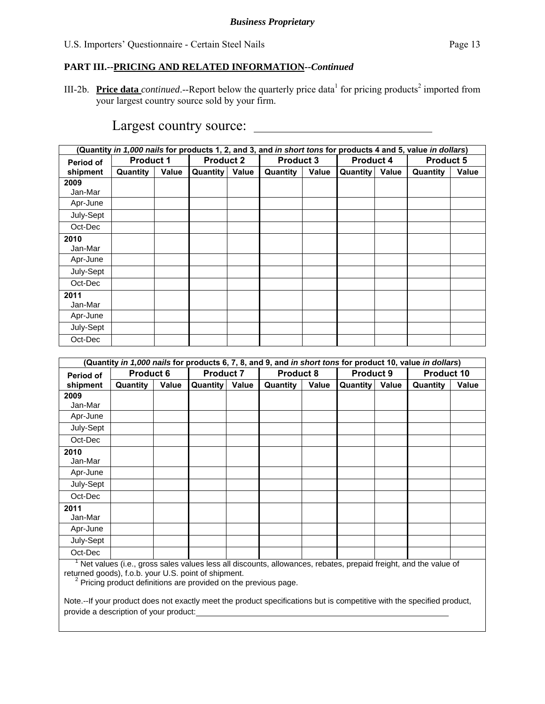III-2b. **Price data** *continued*.--Report below the quarterly price data<sup>1</sup> for pricing products<sup>2</sup> imported from your largest country source sold by your firm.

|           | (Quantity <i>in 1,000 nails</i> for products 1, 2, and 3, and <i>in short tons</i> for products 4 and 5, value <i>in dollars</i> ) |       |                  |       |                  |              |                  |       |                  |              |
|-----------|------------------------------------------------------------------------------------------------------------------------------------|-------|------------------|-------|------------------|--------------|------------------|-------|------------------|--------------|
| Period of | <b>Product 1</b>                                                                                                                   |       | <b>Product 2</b> |       | <b>Product 3</b> |              | <b>Product 4</b> |       | <b>Product 5</b> |              |
| shipment  | Quantity                                                                                                                           | Value | <b>Quantity</b>  | Value | Quantity         | <b>Value</b> | Quantity         | Value | Quantity         | <b>Value</b> |
| 2009      |                                                                                                                                    |       |                  |       |                  |              |                  |       |                  |              |
| Jan-Mar   |                                                                                                                                    |       |                  |       |                  |              |                  |       |                  |              |
| Apr-June  |                                                                                                                                    |       |                  |       |                  |              |                  |       |                  |              |
| July-Sept |                                                                                                                                    |       |                  |       |                  |              |                  |       |                  |              |
| Oct-Dec   |                                                                                                                                    |       |                  |       |                  |              |                  |       |                  |              |
| 2010      |                                                                                                                                    |       |                  |       |                  |              |                  |       |                  |              |
| Jan-Mar   |                                                                                                                                    |       |                  |       |                  |              |                  |       |                  |              |
| Apr-June  |                                                                                                                                    |       |                  |       |                  |              |                  |       |                  |              |
| July-Sept |                                                                                                                                    |       |                  |       |                  |              |                  |       |                  |              |
| Oct-Dec   |                                                                                                                                    |       |                  |       |                  |              |                  |       |                  |              |
| 2011      |                                                                                                                                    |       |                  |       |                  |              |                  |       |                  |              |
| Jan-Mar   |                                                                                                                                    |       |                  |       |                  |              |                  |       |                  |              |
| Apr-June  |                                                                                                                                    |       |                  |       |                  |              |                  |       |                  |              |
| July-Sept |                                                                                                                                    |       |                  |       |                  |              |                  |       |                  |              |
| Oct-Dec   |                                                                                                                                    |       |                  |       |                  |              |                  |       |                  |              |

# Largest country source:

|                  | (Quantity in 1,000 nails for products 6, 7, 8, and 9, and in short tons for product 10, value in dollars) |       |                  |       |                                      |       |            |       |          |              |
|------------------|-----------------------------------------------------------------------------------------------------------|-------|------------------|-------|--------------------------------------|-------|------------|-------|----------|--------------|
| <b>Period of</b> | <b>Product 6</b>                                                                                          |       | <b>Product 7</b> |       | <b>Product 8</b><br><b>Product 9</b> |       | Product 10 |       |          |              |
| shipment         | Quantity                                                                                                  | Value | Quantity         | Value | Quantity                             | Value | Quantity   | Value | Quantity | <b>Value</b> |
| 2009             |                                                                                                           |       |                  |       |                                      |       |            |       |          |              |
| Jan-Mar          |                                                                                                           |       |                  |       |                                      |       |            |       |          |              |
| Apr-June         |                                                                                                           |       |                  |       |                                      |       |            |       |          |              |
| July-Sept        |                                                                                                           |       |                  |       |                                      |       |            |       |          |              |
| Oct-Dec          |                                                                                                           |       |                  |       |                                      |       |            |       |          |              |
| 2010             |                                                                                                           |       |                  |       |                                      |       |            |       |          |              |
| Jan-Mar          |                                                                                                           |       |                  |       |                                      |       |            |       |          |              |
| Apr-June         |                                                                                                           |       |                  |       |                                      |       |            |       |          |              |
| July-Sept        |                                                                                                           |       |                  |       |                                      |       |            |       |          |              |
| Oct-Dec          |                                                                                                           |       |                  |       |                                      |       |            |       |          |              |
| 2011             |                                                                                                           |       |                  |       |                                      |       |            |       |          |              |
| Jan-Mar          |                                                                                                           |       |                  |       |                                      |       |            |       |          |              |
| Apr-June         |                                                                                                           |       |                  |       |                                      |       |            |       |          |              |
| July-Sept        |                                                                                                           |       |                  |       |                                      |       |            |       |          |              |
| Oct-Dec          |                                                                                                           |       |                  |       |                                      |       |            |       |          |              |

 $\overline{\phantom{a}}$  Net values (i.e., gross sales values less all discounts, allowances, rebates, prepaid freight, and the value of returned goods), f.o.b. your U.S. point of shipment.

<sup>2</sup> Pricing product definitions are provided on the previous page.

Note.--If your product does not exactly meet the product specifications but is competitive with the specified product, provide a description of your product: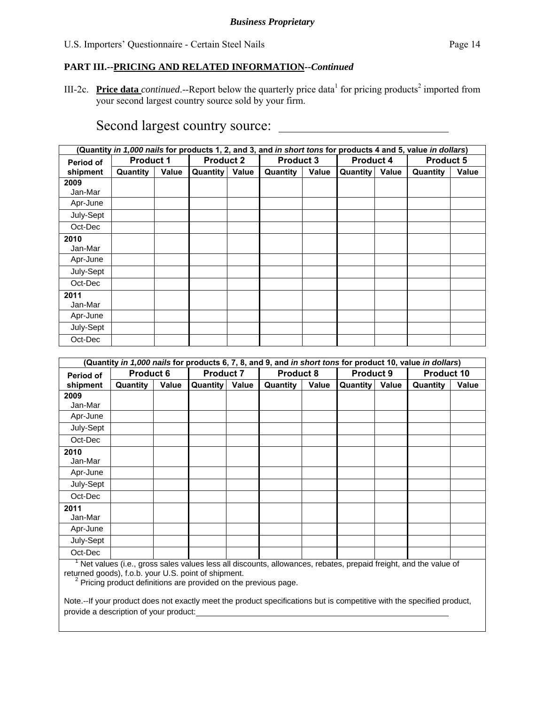III-2c. **Price data** *continued*.--Report below the quarterly price data<sup>1</sup> for pricing products<sup>2</sup> imported from your second largest country source sold by your firm.

# Second largest country source:

|           | (Quantity in 1,000 nails for products 1, 2, and 3, and in short tons for products 4 and 5, value in dollars) |       |                  |       |                  |       |                  |       |                  |              |
|-----------|--------------------------------------------------------------------------------------------------------------|-------|------------------|-------|------------------|-------|------------------|-------|------------------|--------------|
| Period of | <b>Product 1</b>                                                                                             |       | <b>Product 2</b> |       | <b>Product 3</b> |       | <b>Product 4</b> |       | <b>Product 5</b> |              |
| shipment  | Quantity                                                                                                     | Value | Quantity         | Value | <b>Quantity</b>  | Value | <b>Quantity</b>  | Value | Quantity         | <b>Value</b> |
| 2009      |                                                                                                              |       |                  |       |                  |       |                  |       |                  |              |
| Jan-Mar   |                                                                                                              |       |                  |       |                  |       |                  |       |                  |              |
| Apr-June  |                                                                                                              |       |                  |       |                  |       |                  |       |                  |              |
| July-Sept |                                                                                                              |       |                  |       |                  |       |                  |       |                  |              |
| Oct-Dec   |                                                                                                              |       |                  |       |                  |       |                  |       |                  |              |
| 2010      |                                                                                                              |       |                  |       |                  |       |                  |       |                  |              |
| Jan-Mar   |                                                                                                              |       |                  |       |                  |       |                  |       |                  |              |
| Apr-June  |                                                                                                              |       |                  |       |                  |       |                  |       |                  |              |
| July-Sept |                                                                                                              |       |                  |       |                  |       |                  |       |                  |              |
| Oct-Dec   |                                                                                                              |       |                  |       |                  |       |                  |       |                  |              |
| 2011      |                                                                                                              |       |                  |       |                  |       |                  |       |                  |              |
| Jan-Mar   |                                                                                                              |       |                  |       |                  |       |                  |       |                  |              |
| Apr-June  |                                                                                                              |       |                  |       |                  |       |                  |       |                  |              |
| July-Sept |                                                                                                              |       |                  |       |                  |       |                  |       |                  |              |
| Oct-Dec   |                                                                                                              |       |                  |       |                  |       |                  |       |                  |              |

|                  | (Quantity <i>in 1,000 nails</i> for products 6, 7, 8, and 9, and <i>in short tons</i> for product 10, value <i>in dollars</i> ) |       |                  |       |          |                                      |          |            |          |       |
|------------------|---------------------------------------------------------------------------------------------------------------------------------|-------|------------------|-------|----------|--------------------------------------|----------|------------|----------|-------|
| <b>Period of</b> | <b>Product 6</b>                                                                                                                |       | <b>Product 7</b> |       |          | <b>Product 8</b><br><b>Product 9</b> |          | Product 10 |          |       |
| shipment         | Quantity                                                                                                                        | Value | <b>Quantity</b>  | Value | Quantity | Value                                | Quantity | Value      | Quantity | Value |
| 2009             |                                                                                                                                 |       |                  |       |          |                                      |          |            |          |       |
| Jan-Mar          |                                                                                                                                 |       |                  |       |          |                                      |          |            |          |       |
| Apr-June         |                                                                                                                                 |       |                  |       |          |                                      |          |            |          |       |
| July-Sept        |                                                                                                                                 |       |                  |       |          |                                      |          |            |          |       |
| Oct-Dec          |                                                                                                                                 |       |                  |       |          |                                      |          |            |          |       |
| 2010             |                                                                                                                                 |       |                  |       |          |                                      |          |            |          |       |
| Jan-Mar          |                                                                                                                                 |       |                  |       |          |                                      |          |            |          |       |
| Apr-June         |                                                                                                                                 |       |                  |       |          |                                      |          |            |          |       |
| July-Sept        |                                                                                                                                 |       |                  |       |          |                                      |          |            |          |       |
| Oct-Dec          |                                                                                                                                 |       |                  |       |          |                                      |          |            |          |       |
| 2011             |                                                                                                                                 |       |                  |       |          |                                      |          |            |          |       |
| Jan-Mar          |                                                                                                                                 |       |                  |       |          |                                      |          |            |          |       |
| Apr-June         |                                                                                                                                 |       |                  |       |          |                                      |          |            |          |       |
| July-Sept        |                                                                                                                                 |       |                  |       |          |                                      |          |            |          |       |
| Oct-Dec          |                                                                                                                                 |       |                  |       |          |                                      |          |            |          |       |

 $\overline{\phantom{a}}$  Net values (i.e., gross sales values less all discounts, allowances, rebates, prepaid freight, and the value of returned goods), f.o.b. your U.S. point of shipment.

<sup>2</sup> Pricing product definitions are provided on the previous page.

Note.--If your product does not exactly meet the product specifications but is competitive with the specified product, provide a description of your product: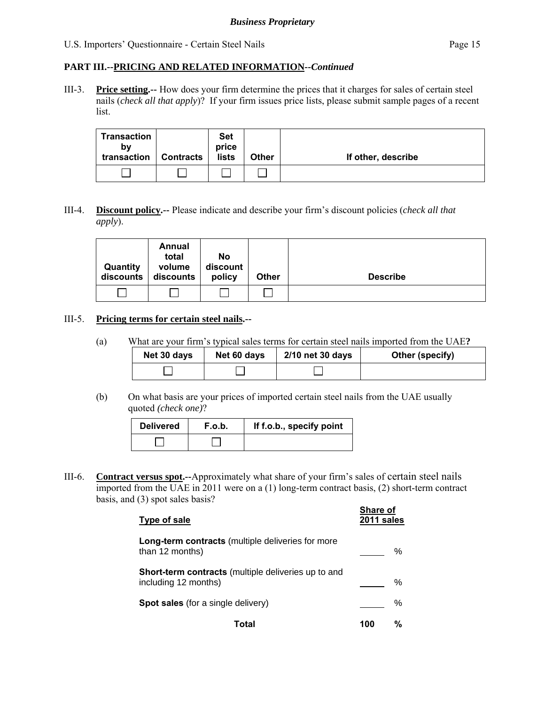#### *Business Proprietary*

#### U.S. Importers' Questionnaire - Certain Steel Nails Page 15

#### **PART III.--PRICING AND RELATED INFORMATION***--Continued*

III-3. **Price setting.--** How does your firm determine the prices that it charges for sales of certain steel nails (*check all that apply*)? If your firm issues price lists, please submit sample pages of a recent list.

| Transaction<br>bv<br>transaction | <b>Contracts</b> | <b>Set</b><br>price<br>lists | <b>Other</b> | If other, describe |
|----------------------------------|------------------|------------------------------|--------------|--------------------|
|                                  |                  |                              |              |                    |

#### III-4. **Discount policy.--** Please indicate and describe your firm's discount policies (*check all that apply*).

| Quantity<br>discounts | Annual<br>total<br>volume<br>discounts | No<br>discount<br>policy | <b>Other</b> | <b>Describe</b> |
|-----------------------|----------------------------------------|--------------------------|--------------|-----------------|
|                       |                                        |                          |              |                 |

#### III-5. **Pricing terms for certain steel nails.--**

(a) What are your firm's typical sales terms for certain steel nails imported from the UAE**?**

| Net 30 days | Net 60 days | 2/10 net 30 days | Other (specify) |
|-------------|-------------|------------------|-----------------|
|             |             |                  |                 |

**Share of** 

(b) On what basis are your prices of imported certain steel nails from the UAE usually quoted *(check one)*?

| <b>Delivered</b> | F.o.b. | If f.o.b., specify point |
|------------------|--------|--------------------------|
|                  |        |                          |

III-6. **Contract versus spot.--**Approximately what share of your firm's sales of certain steel nails imported from the UAE in 2011 were on a (1) long-term contract basis, (2) short-term contract basis, and (3) spot sales basis?

| Type of sale                                                                       | Əlidle Ül<br>2011 sales |   |
|------------------------------------------------------------------------------------|-------------------------|---|
| <b>Long-term contracts</b> (multiple deliveries for more<br>than 12 months)        |                         | % |
| <b>Short-term contracts</b> (multiple deliveries up to and<br>including 12 months) |                         | % |
| <b>Spot sales</b> (for a single delivery)                                          |                         | % |
| Total                                                                              | 100                     | % |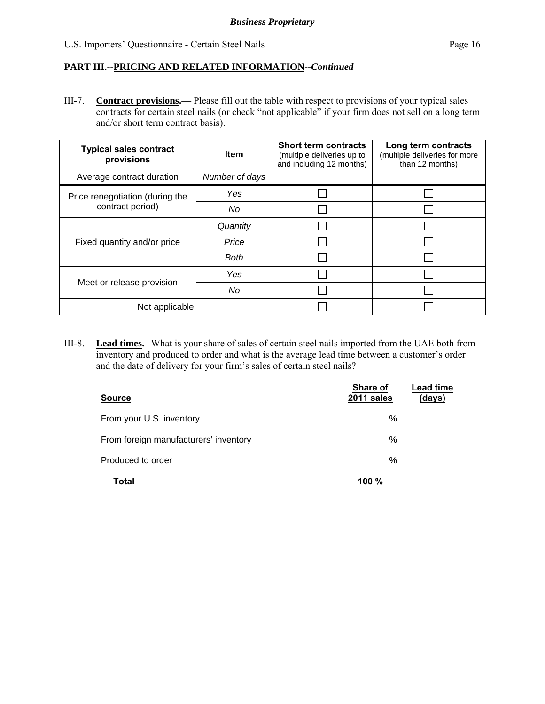III-7. **Contract provisions.—** Please fill out the table with respect to provisions of your typical sales contracts for certain steel nails (or check "not applicable" if your firm does not sell on a long term and/or short term contract basis).

| <b>Typical sales contract</b><br>provisions | <b>Item</b>    | <b>Short term contracts</b><br>(multiple deliveries up to<br>and including 12 months) | Long term contracts<br>(multiple deliveries for more<br>than 12 months) |
|---------------------------------------------|----------------|---------------------------------------------------------------------------------------|-------------------------------------------------------------------------|
| Average contract duration                   | Number of days |                                                                                       |                                                                         |
| Price renegotiation (during the             | Yes            |                                                                                       |                                                                         |
| contract period)                            | No             |                                                                                       |                                                                         |
|                                             | Quantity       |                                                                                       |                                                                         |
| Fixed quantity and/or price                 | Price          |                                                                                       |                                                                         |
|                                             | <b>Both</b>    |                                                                                       |                                                                         |
| Meet or release provision                   | Yes            |                                                                                       |                                                                         |
|                                             | No             |                                                                                       |                                                                         |
| Not applicable                              |                |                                                                                       |                                                                         |

III-8. **Lead times.--**What is your share of sales of certain steel nails imported from the UAE both from inventory and produced to order and what is the average lead time between a customer's order and the date of delivery for your firm's sales of certain steel nails?

| <b>Source</b>                         | Share of<br>2011 sales | <b>Lead time</b><br>(days) |
|---------------------------------------|------------------------|----------------------------|
| From your U.S. inventory              | %                      |                            |
| From foreign manufacturers' inventory | ℅                      |                            |
| Produced to order                     | %                      |                            |
| <b>Total</b>                          | 100 %                  |                            |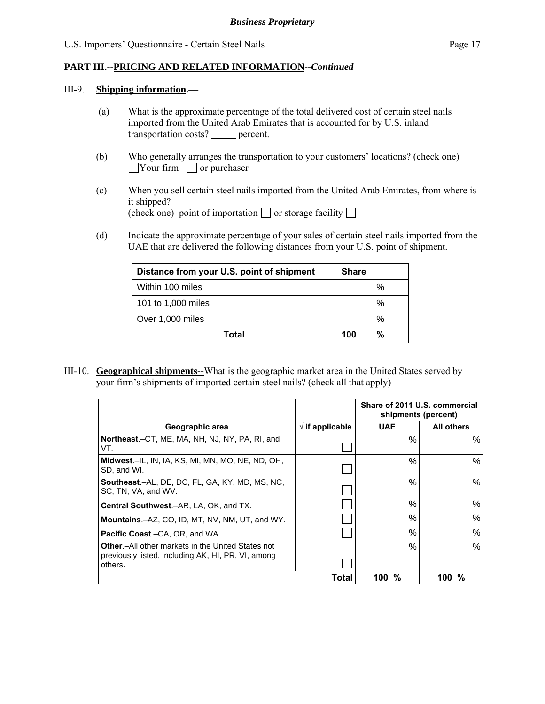#### III-9. **Shipping information.—**

- (a) What is the approximate percentage of the total delivered cost of certain steel nails imported from the United Arab Emirates that is accounted for by U.S. inland transportation costs? \_\_\_\_\_ percent.
- (b) Who generally arranges the transportation to your customers' locations? (check one)  $\Box$ Your firm  $\Box$  or purchaser
- (c) When you sell certain steel nails imported from the United Arab Emirates, from where is it shipped? (check one) point of importation  $\Box$  or storage facility  $\Box$
- (d) Indicate the approximate percentage of your sales of certain steel nails imported from the UAE that are delivered the following distances from your U.S. point of shipment.

| Distance from your U.S. point of shipment | <b>Share</b> |
|-------------------------------------------|--------------|
| Within 100 miles                          | $\%$         |
| 101 to 1,000 miles                        | %            |
| Over 1,000 miles                          | $\%$         |
| Total                                     | %<br>100     |

III-10. **Geographical shipments--**What is the geographic market area in the United States served by your firm's shipments of imported certain steel nails? (check all that apply)

|                                                                                                                            |                          | Share of 2011 U.S. commercial<br>shipments (percent) |            |  |
|----------------------------------------------------------------------------------------------------------------------------|--------------------------|------------------------------------------------------|------------|--|
| Geographic area                                                                                                            | $\sqrt{ }$ if applicable | <b>UAE</b>                                           | All others |  |
| <b>Northeast.-CT, ME, MA, NH, NJ, NY, PA, RI, and</b><br>VT.                                                               |                          | $\%$                                                 | %          |  |
| Midwest.-IL, IN, IA, KS, MI, MN, MO, NE, ND, OH,<br>SD, and WI.                                                            |                          | $\%$                                                 | %          |  |
| <b>Southeast.-AL, DE, DC, FL, GA, KY, MD, MS, NC,</b><br>SC, TN, VA, and WV.                                               |                          | %                                                    | %          |  |
| Central Southwest.-AR, LA, OK, and TX.                                                                                     |                          | $\%$                                                 | %          |  |
| <b>Mountains.-AZ, CO, ID, MT, NV, NM, UT, and WY.</b>                                                                      |                          | %                                                    | %          |  |
| <b>Pacific Coast.–CA, OR, and WA.</b>                                                                                      |                          | $\%$                                                 | %          |  |
| <b>Other.</b> -All other markets in the United States not<br>previously listed, including AK, HI, PR, VI, among<br>others. |                          | $\%$                                                 | %          |  |
|                                                                                                                            | Total                    | %<br>100                                             | %<br>100   |  |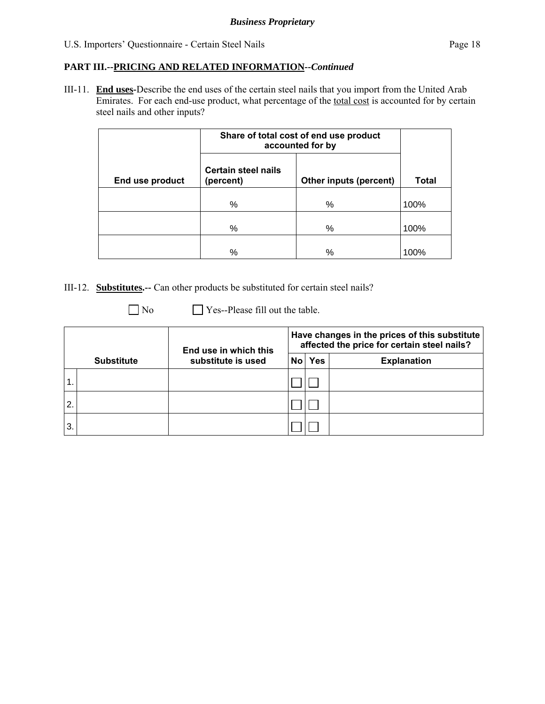III-11. **End uses-**Describe the end uses of the certain steel nails that you import from the United Arab Emirates. For each end-use product, what percentage of the total cost is accounted for by certain steel nails and other inputs?

|                 | Share of total cost of end use product<br>accounted for by        |   |              |
|-----------------|-------------------------------------------------------------------|---|--------------|
| End use product | <b>Certain steel nails</b><br>Other inputs (percent)<br>(percent) |   | <b>Total</b> |
|                 | %                                                                 | % | 100%         |
|                 | %                                                                 | % | 100%         |
|                 | %                                                                 | % | 100%         |

III-12. **Substitutes.--** Can other products be substituted for certain steel nails?

No **Secure 2** Yes--Please fill out the table.

|    |                   | End use in which this |  | Have changes in the prices of this substitute<br>affected the price for certain steel nails? |                    |  |
|----|-------------------|-----------------------|--|----------------------------------------------------------------------------------------------|--------------------|--|
|    | <b>Substitute</b> | substitute is used    |  | No Yes                                                                                       | <b>Explanation</b> |  |
|    |                   |                       |  |                                                                                              |                    |  |
| 2. |                   |                       |  |                                                                                              |                    |  |
| 3. |                   |                       |  |                                                                                              |                    |  |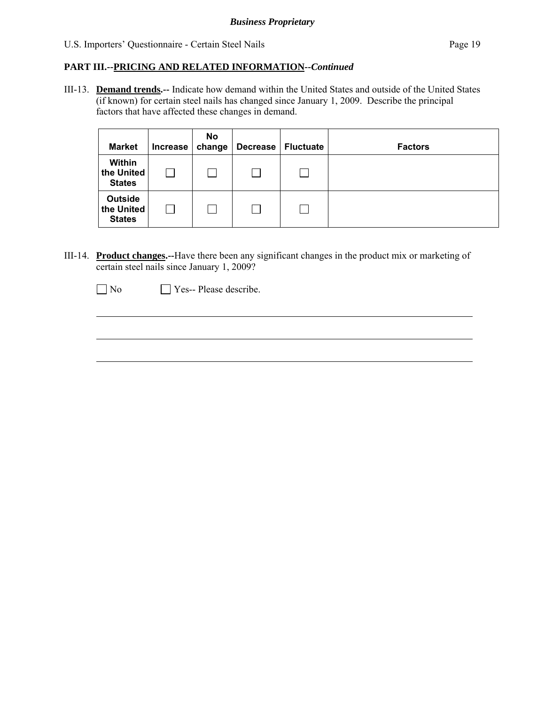III-13. **Demand trends.--** Indicate how demand within the United States and outside of the United States (if known) for certain steel nails has changed since January 1, 2009. Describe the principal factors that have affected these changes in demand.

| <b>Market</b>                                 | Increase | <b>No</b><br>change | <b>Decrease</b> | <b>Fluctuate</b> | <b>Factors</b> |
|-----------------------------------------------|----------|---------------------|-----------------|------------------|----------------|
| Within<br>the United<br><b>States</b>         |          | L                   |                 |                  |                |
| <b>Outside</b><br>the United<br><b>States</b> |          | L                   |                 |                  |                |

III-14. **Product changes.--**Have there been any significant changes in the product mix or marketing of certain steel nails since January 1, 2009?

No **Yes-- Please describe.** 

 $\overline{a}$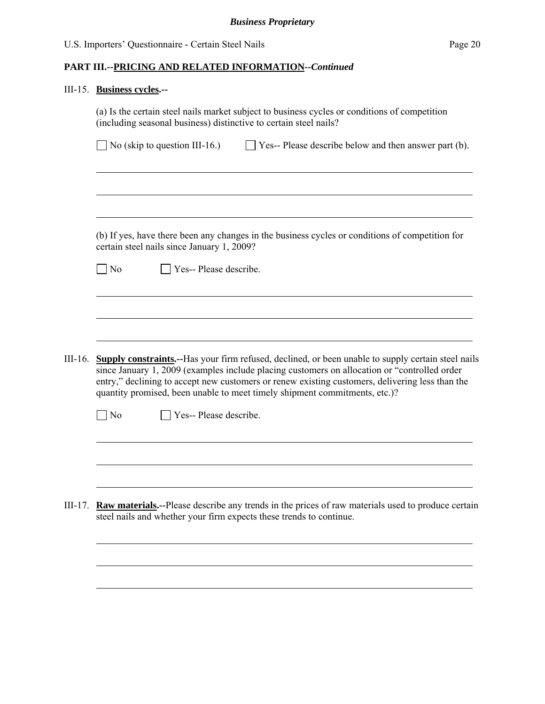# III-15. **Business cycles.--**

|         | (a) Is the certain steel nails market subject to business cycles or conditions of competition<br>(including seasonal business) distinctive to certain steel nails?                                                                                                                                                                                                                          |
|---------|---------------------------------------------------------------------------------------------------------------------------------------------------------------------------------------------------------------------------------------------------------------------------------------------------------------------------------------------------------------------------------------------|
|         | $\Box$ No (skip to question III-16.)<br>$\Box$ Yes-- Please describe below and then answer part (b).                                                                                                                                                                                                                                                                                        |
|         |                                                                                                                                                                                                                                                                                                                                                                                             |
|         | (b) If yes, have there been any changes in the business cycles or conditions of competition for<br>certain steel nails since January 1, 2009?                                                                                                                                                                                                                                               |
|         | Yes-- Please describe.<br>$\Box$ No                                                                                                                                                                                                                                                                                                                                                         |
|         |                                                                                                                                                                                                                                                                                                                                                                                             |
|         |                                                                                                                                                                                                                                                                                                                                                                                             |
| III-16. | <b>Supply constraints.</b> --Has your firm refused, declined, or been unable to supply certain steel nails<br>since January 1, 2009 (examples include placing customers on allocation or "controlled order<br>entry," declining to accept new customers or renew existing customers, delivering less than the<br>quantity promised, been unable to meet timely shipment commitments, etc.)? |
|         | Yes-- Please describe.<br>$\Box$ No                                                                                                                                                                                                                                                                                                                                                         |
|         |                                                                                                                                                                                                                                                                                                                                                                                             |
|         |                                                                                                                                                                                                                                                                                                                                                                                             |
| III-17. | Raw materials.--Please describe any trends in the prices of raw materials used to produce certain<br>steel nails and whether your firm expects these trends to continue.                                                                                                                                                                                                                    |
|         |                                                                                                                                                                                                                                                                                                                                                                                             |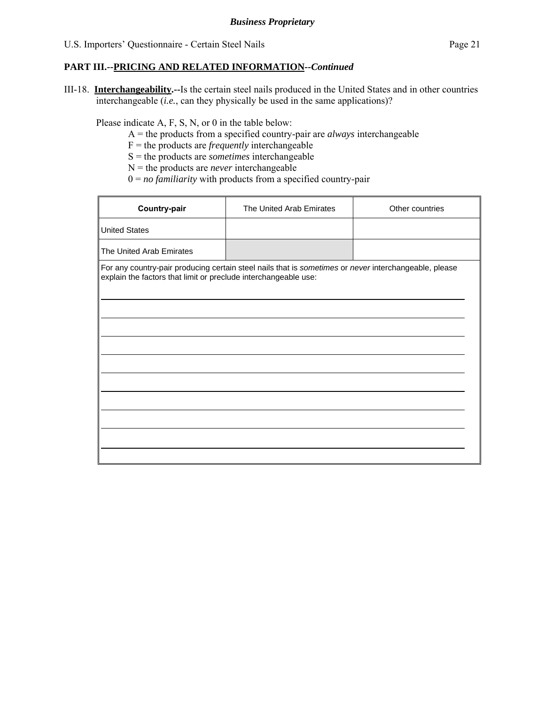III-18. **Interchangeability.--**Is the certain steel nails produced in the United States and in other countries interchangeable (*i.e.*, can they physically be used in the same applications)?

Please indicate A, F, S, N, or 0 in the table below:

- A = the products from a specified country-pair are *always* interchangeable
- F = the products are *frequently* interchangeable
- S = the products are *sometimes* interchangeable
- N = the products are *never* interchangeable
- 0 = *no familiarity* with products from a specified country-pair

| The United Arab Emirates                                                                                                                                                 | Other countries |
|--------------------------------------------------------------------------------------------------------------------------------------------------------------------------|-----------------|
|                                                                                                                                                                          |                 |
|                                                                                                                                                                          |                 |
| For any country-pair producing certain steel nails that is sometimes or never interchangeable, please<br>explain the factors that limit or preclude interchangeable use: |                 |
|                                                                                                                                                                          |                 |
|                                                                                                                                                                          |                 |
|                                                                                                                                                                          |                 |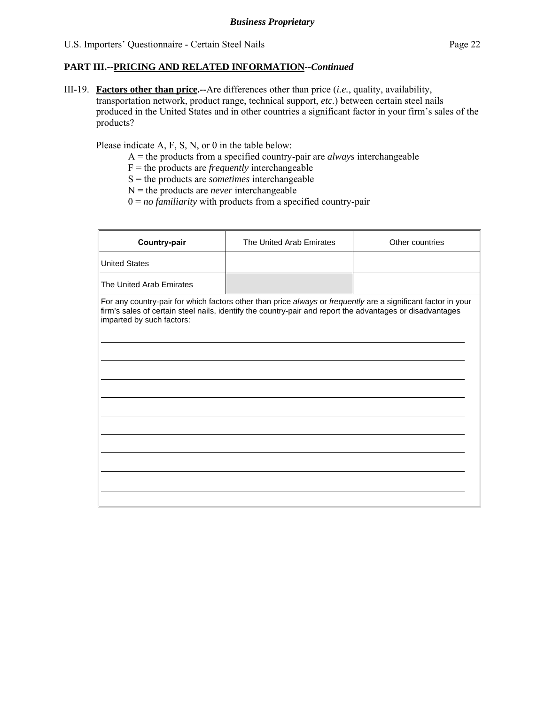III-19. **Factors other than price.--**Are differences other than price (*i.e.*, quality, availability, transportation network, product range, technical support, *etc.*) between certain steel nails produced in the United States and in other countries a significant factor in your firm's sales of the products?

Please indicate A, F, S, N, or 0 in the table below:

- A = the products from a specified country-pair are *always* interchangeable
- F = the products are *frequently* interchangeable
- S = the products are *sometimes* interchangeable
- N = the products are *never* interchangeable
- $0 = no$  *familiarity* with products from a specified country-pair

| Country-pair              | The United Arab Emirates                                                                                                                                                                                                   | Other countries |
|---------------------------|----------------------------------------------------------------------------------------------------------------------------------------------------------------------------------------------------------------------------|-----------------|
| <b>United States</b>      |                                                                                                                                                                                                                            |                 |
| The United Arab Emirates  |                                                                                                                                                                                                                            |                 |
| imparted by such factors: | For any country-pair for which factors other than price always or frequently are a significant factor in your<br>firm's sales of certain steel nails, identify the country-pair and report the advantages or disadvantages |                 |
|                           |                                                                                                                                                                                                                            |                 |